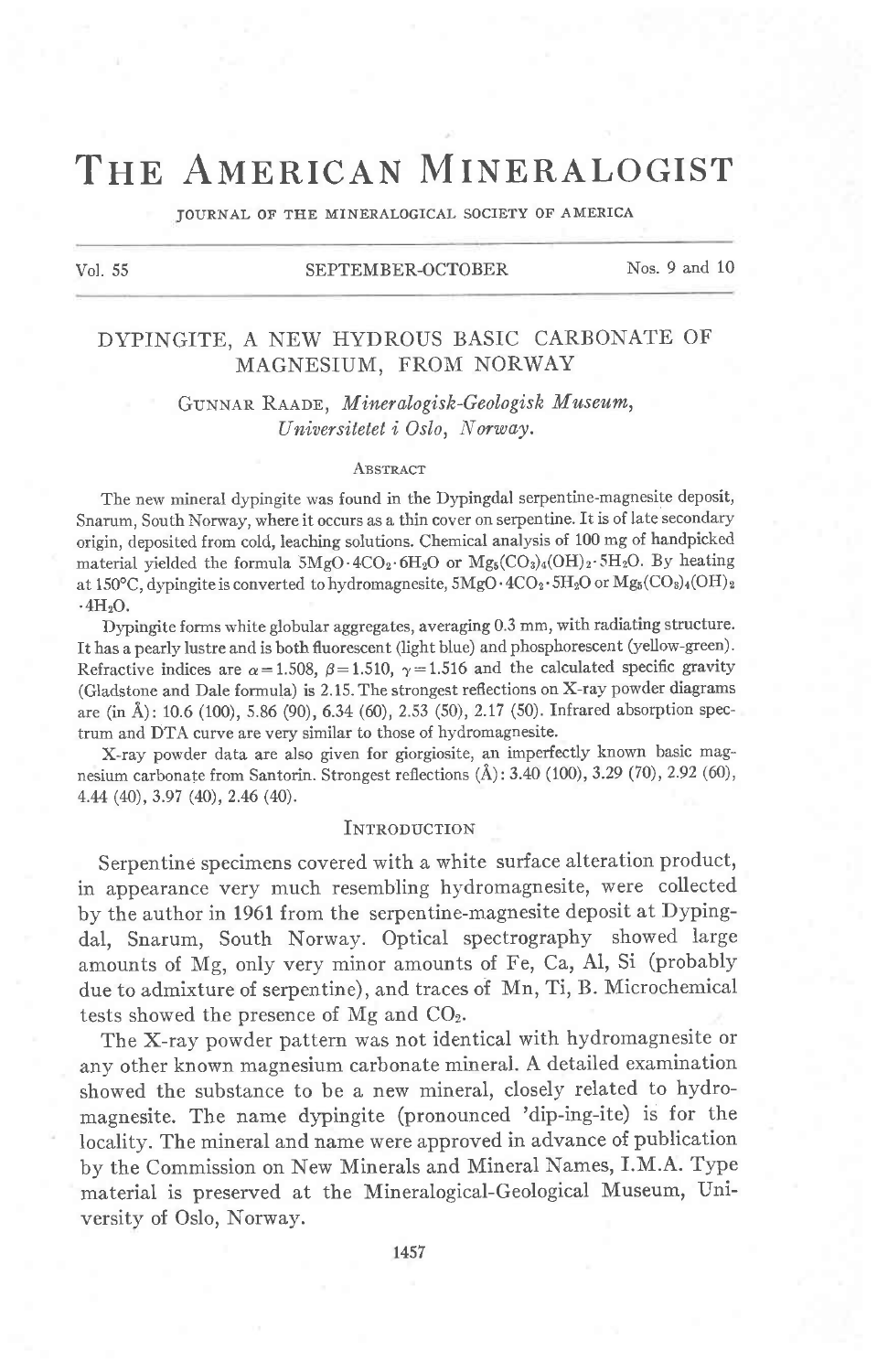## THE AMERICAN MINERALOGIST

JOURNAL OF THE MINERALOGICAL SOCIETY OF AMERICA

#### Vol. 55 SEPTEMBER-OCTOBER Nos. 9 and 10

### DYPINGITE, A NEW HYDROUS BASIC CARBONATE OF MAGNESIUM, FROM NORWAY

# GUNNAR RAADE, Mineralogisk-Geologisk Museum,<br>Universitetet i Oslo, Norway.

#### **ABSTRACT**

The new mineral dypingite was found in the Dypingdal serpentine-magnesite deposit, Snarum, South Norway, where it occurs as a thin cover on serpentine. ft is of late secondary origin, deposited from cold, leaching solutions. Chemical analysis of 100 mg of handpicked material yielded the formula  $5MgO \cdot 4CO_2 \cdot 6H_2O$  or  $Mg_5(CO_3)_4(OH)_2 \cdot 5H_2O$ . By heating at 150°C, dypingite is converted to hydromagnesite,  $5MgO \cdot 4CO_2 \cdot 5H_2O$  or  $Mg_5(CO_8)_4(OH)_2$  $\cdot$ 4H<sub>2</sub>O.

Dypingite forms white globular aggregates, averaging 0.3 mm, with radiating structure. It has a pearly lustre and is both fluorescent (light blue) and phosphorescent (yellow-green). Refractive indices are  $\alpha=1.508$ ,  $\beta=1.510$ ,  $\gamma=1.516$  and the calculated specific gravity (Gladstone and DaIe formula) is 2.15. The strongest reflections on X-ray powder diagrams are (in Å): 10.6 (100), 5.86 (90), 6.34 (60), 2.53 (50), 2.17 (50). Infrared absorption spectrum and DTA curve are very similar to those of hydromagnesite.

X-ray powder data are also given for giorgiosite, an imperfectly known basic magnesium carbonate from Santorin. Strongest reflections  $(\AA)$ : 3.40 (100), 3.29 (70), 2.92 (60), 4.M (n),3.e7 (40), 2.46 (4O).

#### **INTRODUCTION**

Serpentine specimens covered with a white surface alteration product, in appearance very much resembling hydromagnesite, were collected by the author in 1961 from the serpentine-magnesite deposit at Dypingdal, Snarum, South Norway. Optical spectrography showed large amounts of Mg, only very minor amounts of Fe, Ca, Al, Si (probably due to admixture of serpentine), and traces of Mn, Ti, B. Microchemical tests showed the presence of Mg and COz.

The X-ray powder pattern was not identical with hydromagnesite or any other known magnesium carbonate mineral. A detailed examination showed the substance to be a new mineral, closely related to hydromagnesite. The name dypingite (pronounced 'dip-ing-ite) is for the locality. The mineral and name were approved in advance of publication by the Commission on New Minerals and Mineral Names, I.M.A. Type material is preserved at the Mineralogical-Geological Museum, University of Oslo, Norway.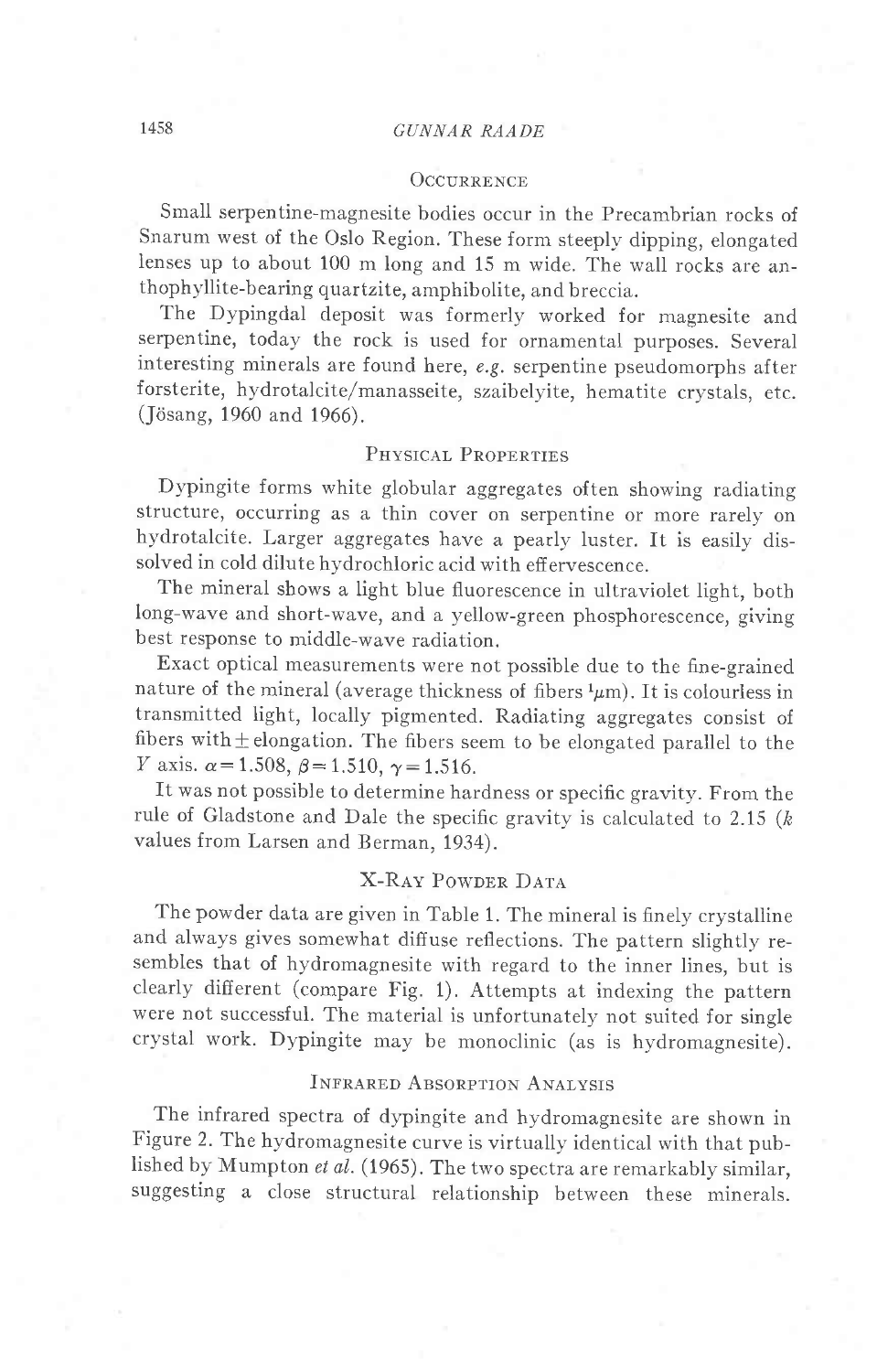#### OCCURRENCE

Small serpentine-magnesite bodies occur in the Precambrian rocks of Snarum west of the Oslo Region. These form steeplv dipping, elongated lenses up to about 100 m long and 15 m wide. The wall rocks are anthophyllite-bearing quartzite, amphibolite, and breccia.

The Dypingdal deposit was formerly worked for magnesite and serpentine, today the rock is used for ornamental purposes. Several interesting minerals are found here, e.g. serpentine pseudomorphs after forsterite, hydrotalcite/manasseite, szaibelyite, hematite crystals, etc. (Jösang, 1960 and 1966).

#### PHYSICAL PROPERTIES

Dypingite forms white globular aggregates often showing radiating structure, occurring as a thin cover on serpentine or more rarely on hydrotalcite. Larger aggregates have a pearly luster. It is easily dissolved in cold dilute hydrochloric acid with effervescence.

The mineral shows a light blue fluorescence in ultraviolet light, both long-wave and short-wave, and a yellow-green phosphorescence, giving best response to middle-wave radiation.

Exact optical measurements were not possible due to the fine-grained nature of the mineral (average thickness of fibers  $\frac{1}{\mu}$ m). It is colourless in transmitted light, locally pigmented. Radiating aggregates consist of fibers with  $\pm$  elongation. The fibers seem to be elongated parallel to the *Y* axis.  $\alpha$  = 1.508,  $\beta$  = 1.510,  $\gamma$  = 1.516.

ft was not possible to determine hardness or specific gravity. From the rule of Gladstone and Dale the specific gravity is calculated to 2.15  $(k)$ values from Larsen and Berman. 1934).

#### X-RAY POWDER DATA

The powder data are given in Table 1. The mineral is finely crystaliine and always gives somewhat diffuse reflections. The pattern slightly resembles that of hydromagnesite with regard to the inner lines, but is clearly different (compare Fig. 1). Attempts at indexing the pattern were not successful. The material is unfortunately not suited for single crystal work. Dypingite may be monoclinic (as is hydromagnesite).

#### INFRARED ABSORPTION ANALYSIS

The infrared spectra of dypingite and hydromagnesite are shown in Figure 2. The hydromagnesite curve is virtually identical with that published by Mumpton et al. (1965). The two spectra are remarkably similar, suggesting a close structural relationship between these minerals.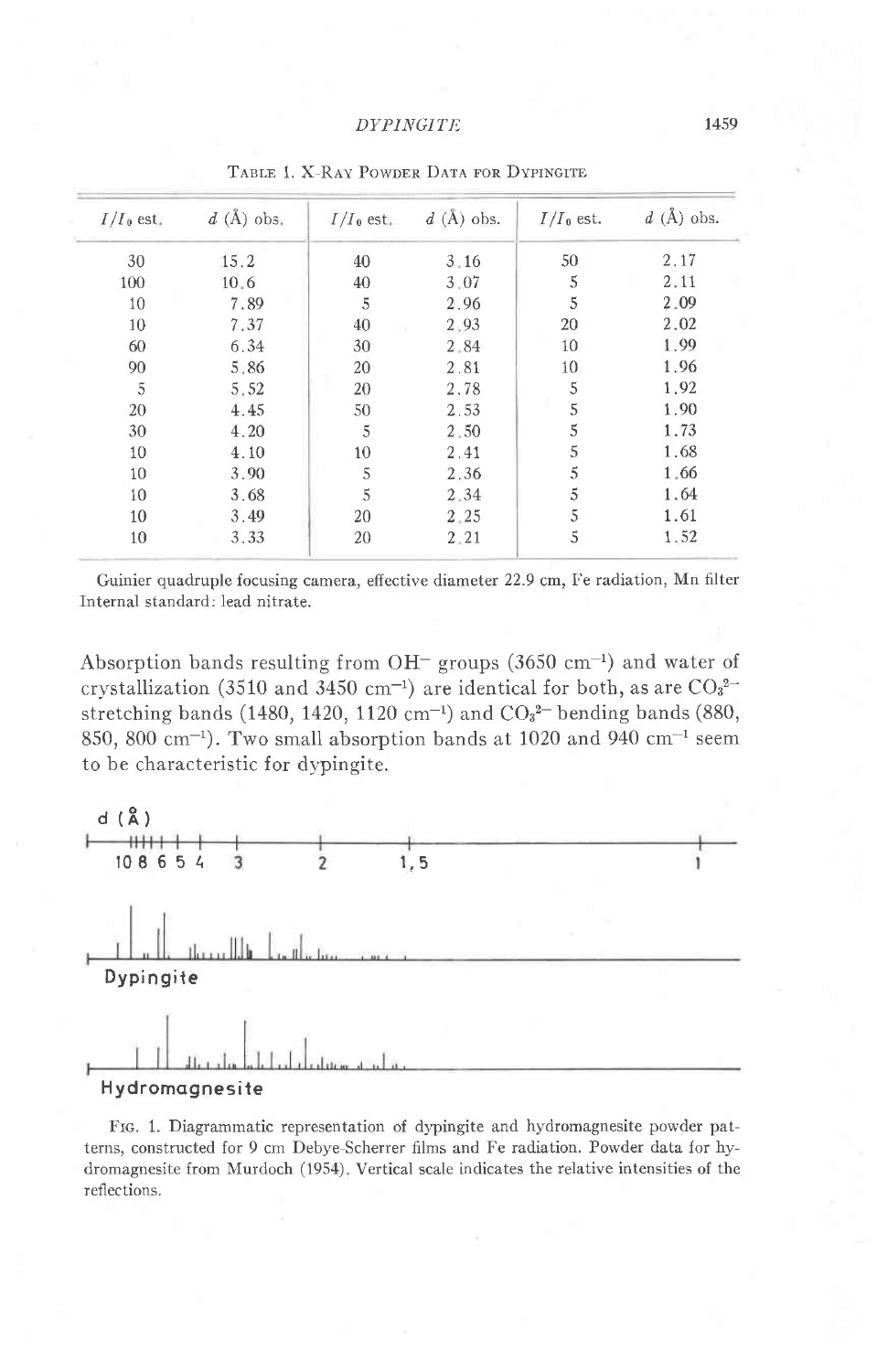| $I/I_0$ est. | $d(A)$ obs. | $I/I_0$ est. | $d(A)$ obs. | $I/I_0$ est. | $d(A)$ obs. |
|--------------|-------------|--------------|-------------|--------------|-------------|
| 30           | 15.2        | 40           | 3.16        | 50           | 2.17        |
| 100          | 10.6        | 40           | 3.07        | 5            | 2.11        |
| 10           | 7.89        | 5            | 2.96        | 5            | 2.09        |
| 10           | 7.37        | 40           | 2.93        | 20           | 2.02        |
| 60           | 6.34        | 30           | 2.84        | 10           | 1.99        |
| 90           | 5.86        | 20           | 2.81        | 10           | 1.96        |
| 5            | 5.52        | 20           | 2.78        | 5            | 1.92        |
| 20           | 4.45        | 50           | 2.53        | 5            | 1.90        |
| 30           | 4.20        | 5            | 2.50        | 5            | 1.73        |
| 10           | 4.10        | 10           | 2.41        | 5            | 1.68        |
| 10           | 3.90        | 5            | 2.36        | 5            | 1.66        |
| 10           | 3.68        | 5            | 2.34        | 5            | 1.64        |
| 10           | 3.49        | 20           | 2.25        | 5            | 1.61        |
| 10           | 3,33        | 20           | 2.21        | 5            | 1.52        |

TABLE 1. X-RAY POWDER DATA FOR DYPINGITE

Guinier quadruple focusing camera, effective diameter 22.9 cm, Fe radiation, Mn filter Internal standard: lead nitrate.

Absorption bands resulting from OH<sup>-</sup> groups (3650 cm<sup>-1</sup>) and water of crystallization (3510 and 3450 cm<sup>-1</sup>) are identical for both, as are  $CO_3^{2-}$ stretching bands (1480, 1420, 1120 cm<sup>-1</sup>) and  $CO<sub>3</sub><sup>2</sup>$  bending bands (880, 850, 800 cm<sup>-1</sup>). Two small absorption bands at 1020 and 940 cm<sup>-1</sup> seem to be characteristic for dypingite.



FIG. 1. Diagrammatic representation of dypingite and hydromagnesite powder patterns, constructed for 9 cm Debye-Scherrer films and Fe radiation. Powder data for hydromagnesite from Murdoch (1954). Vertical scale indicates the relative intensities of the reflections.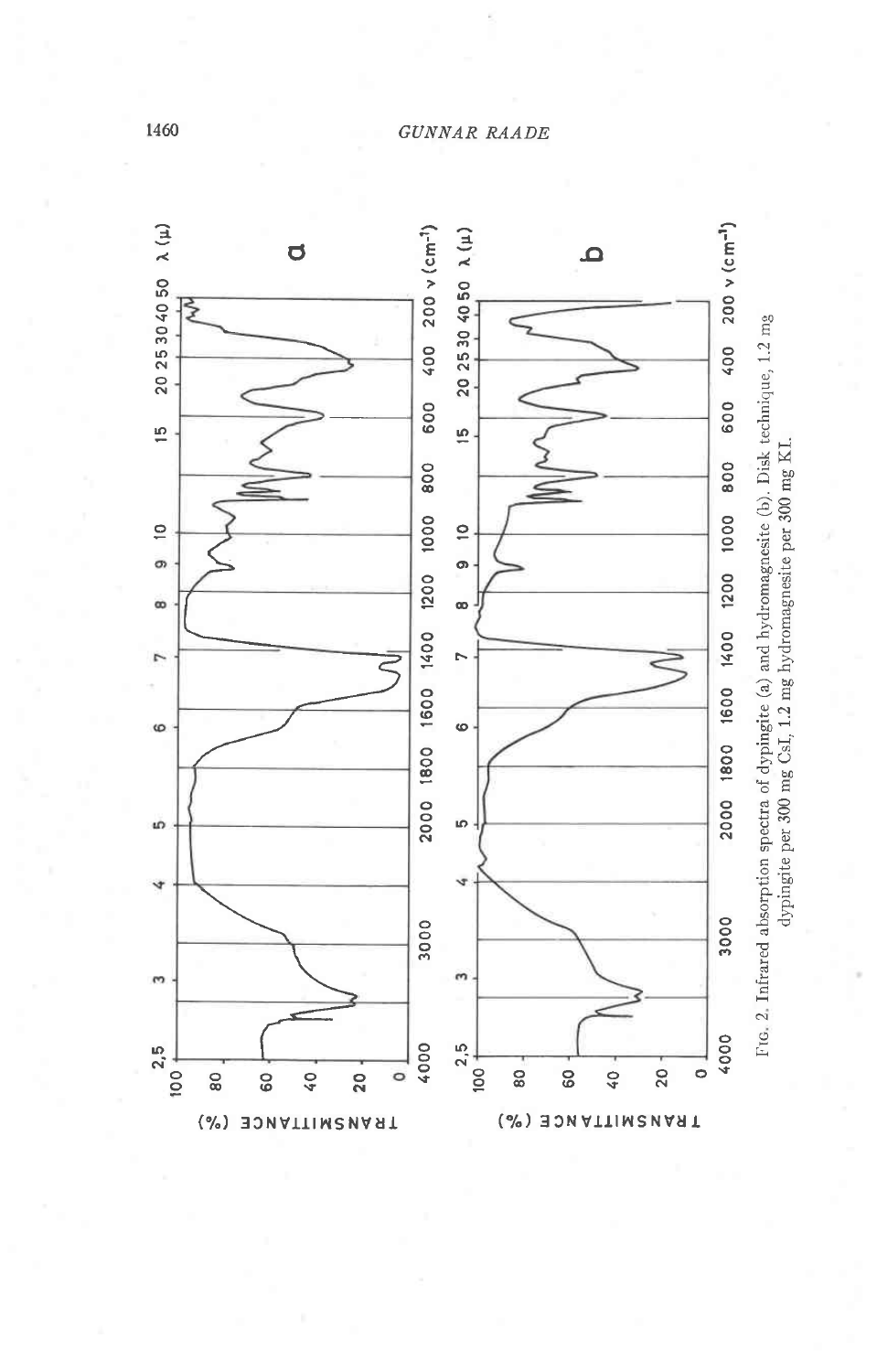

1460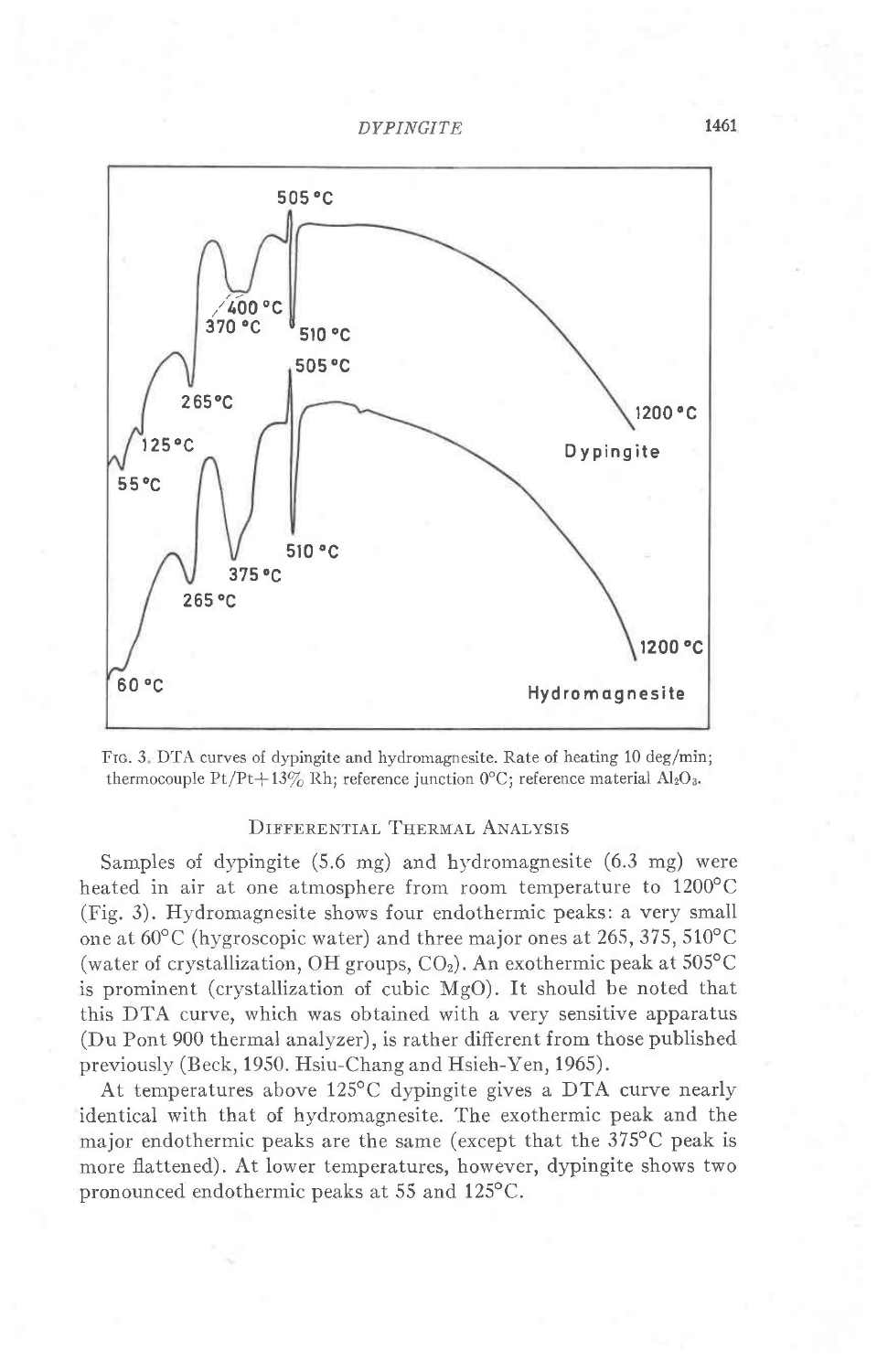



#### DIFFERENTIAL THERMAL ANALYSIS

Samples of dypingite  $(5.6 \text{ mg})$  and hydromagnesite  $(6.3 \text{ mg})$  were heated in air at one atmosphere from room temperature to  $1200^{\circ}$ C (Fig. 3). Hydromagnesite shows four endothermic peaks: a very small one at  $60^{\circ}$ C (hygroscopic water) and three major ones at 265, 375, 510°C (water of crystallization, OH groups,  $CO<sub>2</sub>$ ). An exothermic peak at 505°C is prominent (crystallization of cubic MgO). It should be noted that this DTA curve, which was obtained with a very sensitive apparatus (Du Pont 900 thermal analyzer), is rather different from those published previously (Beck, 1950. Hsiu-Chang and Hsieh-Yen, 1965).

At temperatures above 125°C dypingite gives a DTA curve nearly identical with that of hydromagnesite. The exothermic peak and the major endothermic peaks are the same (except that the 375<sup>o</sup>C peak is more flattened). At lower temperatures, however, dypingite shows two pronounced endothermic peaks at 55 and 125°C.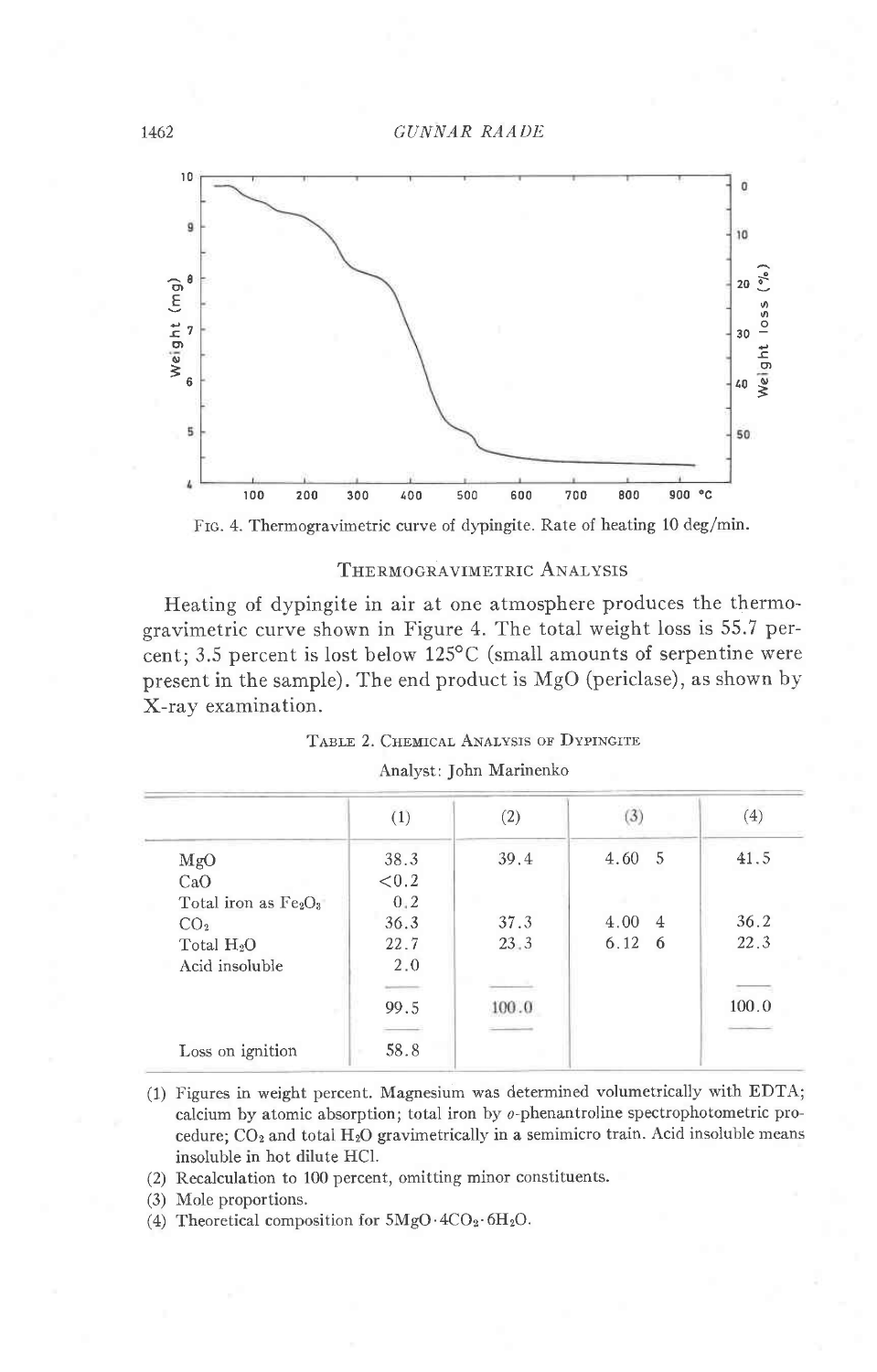

Frc. 4. Thermogravimetric curve of dypingite. Rate of heating 10 deg/min.

#### THERMOGRAVIMETRIC ANALYSIS

Heating of dypingite in air at one atmosphere produces the thermogravimetric curve shown in Figure 4. The total weight loss is 55.7 percent; 3.5 percent is lost below 125°C (small amounts of serpentine were present in the sample). The end product is MgO (periclase), as shown by X-ray examination.

| TABLE 2. CHEMICAL ANALYSIS OF DYPINGITE |
|-----------------------------------------|
|                                         |

|                       | (1)       | (2)   | 3)                     | (4)   |
|-----------------------|-----------|-------|------------------------|-------|
| MgO                   | 38.3      | 39.4  | 4.60<br>- 5            | 41.5  |
| CaO                   | < 0.2     |       |                        |       |
| Total iron as $Fe2O3$ | 0.2       |       |                        |       |
| CO <sub>2</sub>       | 36.3      | 37.3  | 4.00<br>$\overline{4}$ | 36.2  |
| Total $H_2O$          | 22.7      | 23.3  | 6.12<br>-6             | 22.3  |
| Acid insoluble        | 2.0       |       |                        |       |
|                       |           |       |                        |       |
|                       | 99.5      | 100.0 |                        | 100.0 |
|                       |           |       |                        |       |
| Loss on ignition      | 58.8<br>× |       |                        |       |

|  |  | Analyst: John Marinenko |
|--|--|-------------------------|
|--|--|-------------------------|

- (1) Figures in weight percent. Magnesium was determined volumetrically with EDTA; calcium by atomic absorption; total iron by o-phenantroline spectrophotometric procedure;  $CO<sub>2</sub>$  and total H<sub>2</sub>O gravimetrically in a semimicro train. Acid insoluble means insoluble in hot dilute HCI.
- (2) Recalculation to 100 percent, omitting minor constituents.

(3) Mole proportions.

(4) Theoretical composition for  $5MgO \cdot 4CO_2 \cdot 6H_2O$ .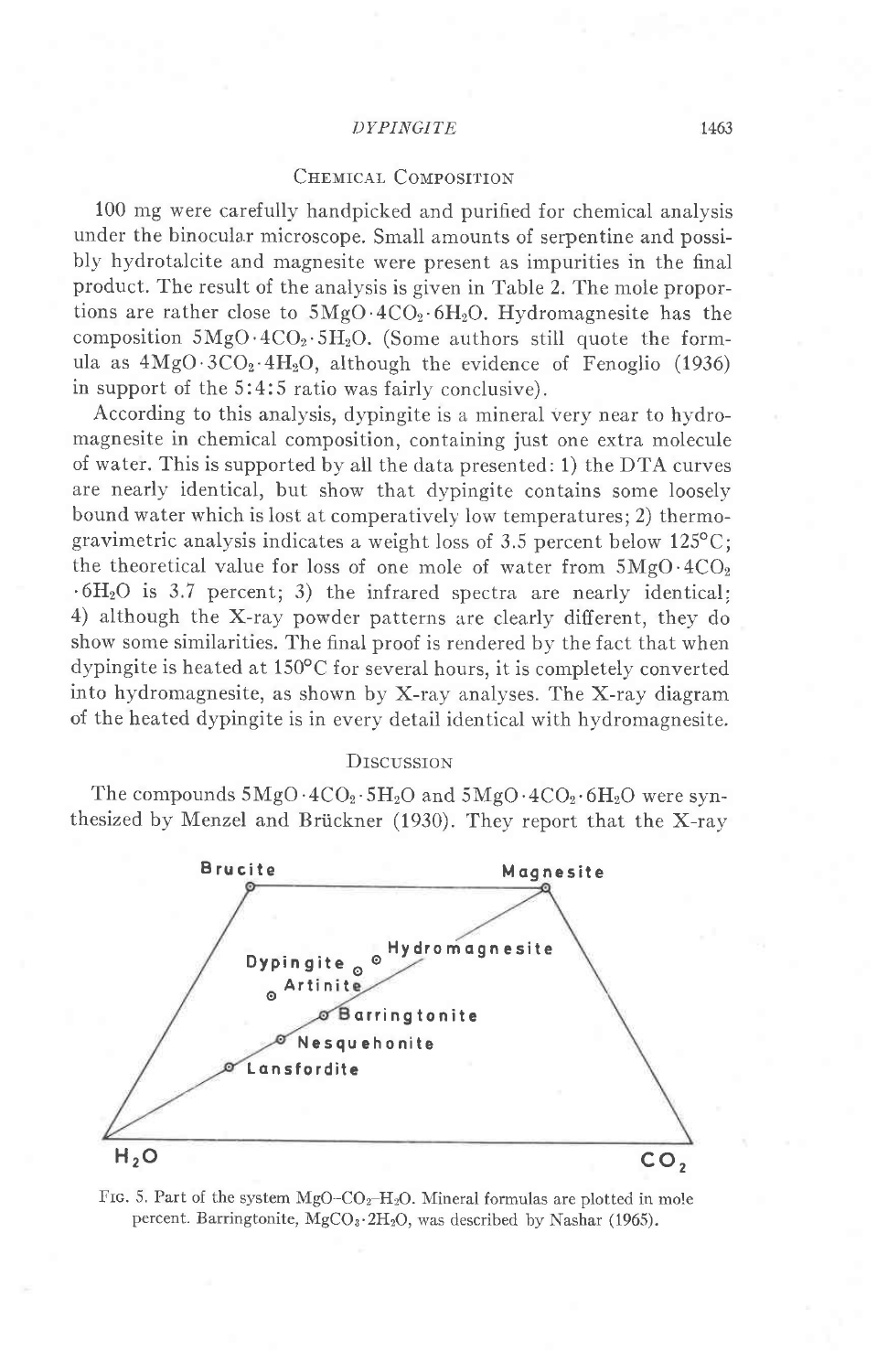#### CHEMICAL COMPOSITION

100 mg were carefully handpicked and purified for chemical analysis under the binocular microscope. Small amounts of serpentine and possibly hydrotalcite and magnesite were present as impurities in the final product. The result of the analysis is given in Table 2. The mole proportions are rather close to  $5MgO \cdot 4CO_2 \cdot 6H_2O$ . Hydromagnesite has the composition  $5MgO \cdot 4CO_2 \cdot 5H_2O$ . (Some authors still quote the formula as  $4MgO.3CO<sub>2</sub>·4H<sub>2</sub>O$ , although the evidence of Fenoglio (1936) in support of the 5:4:5 ratio was fairly conclusive).

According to this analysis, dypingite is a mineral very near to hydromagnesite in chemical composition, containing just one extra molecule of water. This is supported by all the data presented: 1) the DTA curves are nearlv identical, but show that dypingite contains some loosely bound water which is lost at comperatively low temperatures: 2) thermogravimetric analysis indicates a weight loss of 3.5 percent below  $125^{\circ}$ C; the theoretical value for loss of one mole of water from  $5MgO \cdot 4CO_2$  $.6H<sub>2</sub>O$  is 3.7 percent; 3) the infrared spectra are nearly identical; 4) although the X-ray powder patterns are clearly different, they do show some similarities. The final proof is rendered by the fact that when dypingite is heated at  $150^{\circ}$ C for several hours, it is completely converted into hydromagnesite, as shown by X-ray analyses. The X-ray diagram of the heated dypingite is in every detail identical with hydromagnesite.

#### **DISCUSSION**

The compounds  $5MgO \cdot 4CO_2 \cdot 5H_2O$  and  $5MgO \cdot 4CO_2 \cdot 6H_2O$  were synthesized by Menzel and Briickner (1930). They report that the X-ray



FIG. 5. Part of the system MgO-CO<sub>2</sub>-H<sub>2</sub>O. Mineral formulas are plotted in mole percent. Barringtonite,  $MgCO<sub>3</sub>·2H<sub>2</sub>O$ , was described by Nashar (1965).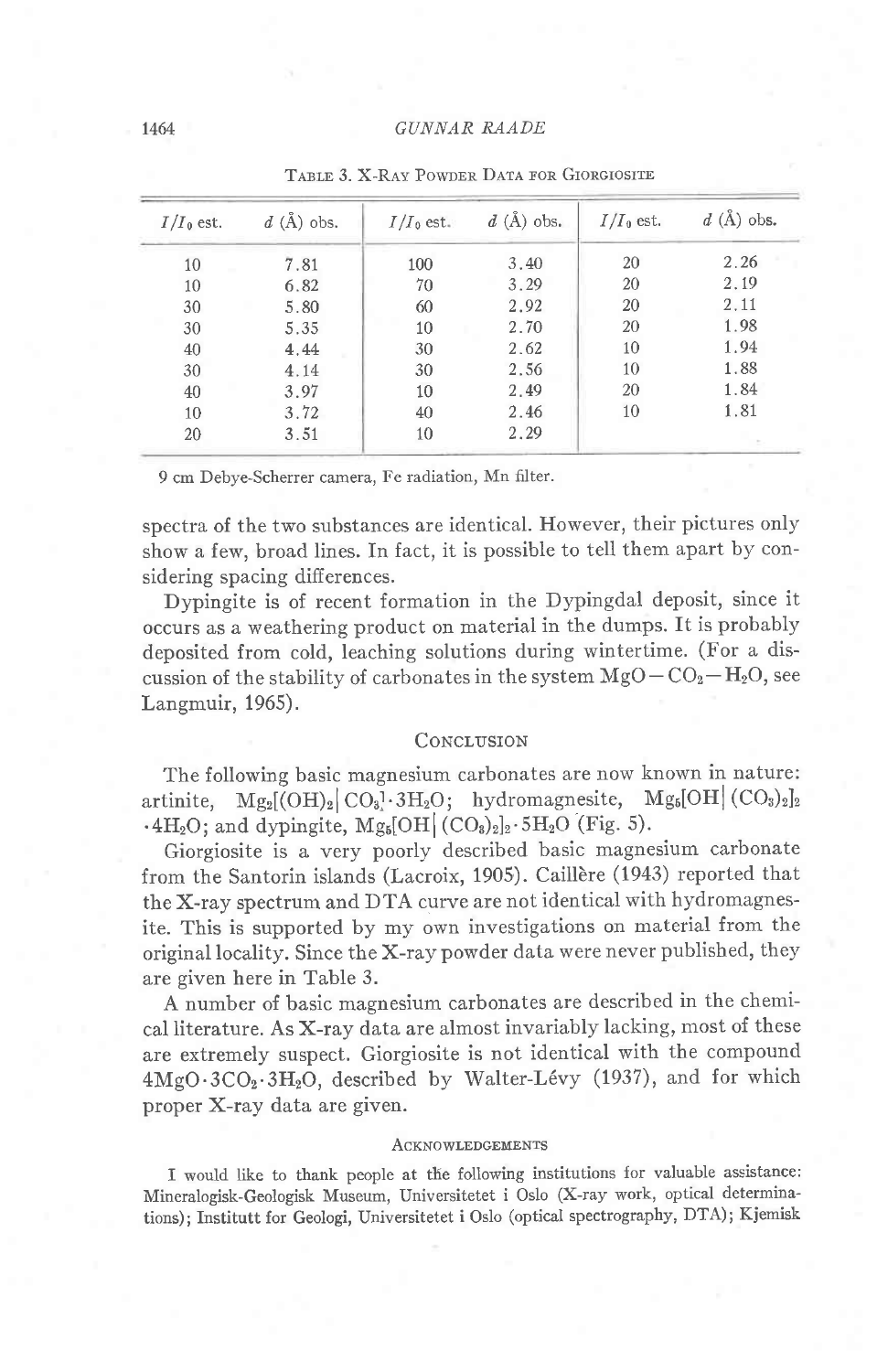| $I/I_0$ est. | $d(\text{\AA})$ obs. | $I/I_0$ est. | $d(A)$ obs. | $I/I_0$ est. | $d(\text{\AA})$ obs. |
|--------------|----------------------|--------------|-------------|--------------|----------------------|
| 10           | 7.81                 | 100          | 3.40        | 20           | 2.26                 |
| 10           | 6.82                 | 70           | 3.29        | 20           | 2.19                 |
| 30           | 5.80                 | 60           | 2.92        | 20           | 2.11                 |
| 30           | 5.35                 | 10           | 2.70        | 20           | 1.98                 |
| 40           | 4.44                 | 30           | 2.62        | 10           | 1.94                 |
| 30           | 4.14                 | 30           | 2.56        | 10           | 1.88                 |
| 40           | 3.97                 | 10           | 2.49        | 20           | 1.84                 |
| 10           | 3.72                 | 40           | 2.46        | 10           | 1.81                 |
| 20           | 3.51                 | 10           | 2.29        |              |                      |

TABLE 3. X-RAY POWDER DATA FOR GIORGIOSITE

9 cm Debye-Scherrer camera, Fe radiation, Mn filter.

spectra of the two substances are identical. However, their pictures only show a few, broad lines. In fact, it is possible to tell them apart by considering spacing differences.

Dypingite is of recent formation in the Dypingdal deposit, since it occurs as a weathering product on material in the dumps. It is probably deposited from cold, leaching solutions during wintertime. (For a discussion of the stability of carbonates in the system  $MgO - CO<sub>2</sub> - H<sub>2</sub>O$ , see Langmuir, 1965).

#### CONCLUSION

The following basic magnesium carbonates are now known in nature: artinite,  $Mg_2[OH]_2[CO_3] \cdot 3H_2O$ ; hydromagnesite,  $Mg_5[OH] (CO_3)_{2}]_2$  $-4H_2O$ ; and dypingite,  $Mg_5[OH(CO_3)_2]_2 \cdot 5H_2O(Fig. 5)$ .

Giorgiosite is a very poorly described basic magnesium carbonate from the Santorin islands (Lacroix, 1905). Caillère (1943) reported that the X-ray spectrum and DTA curve are not identical with hydromagnesite. This is supported by my own investigations on material from the original locality. Since the X-ray powder data were never published, they are given here in Table 3.

A number of basic magnesium carbonates are described in the chemical literature. As X-ray data are almost invariably lacking, most of these are extremely suspect. Giorgiosite is not identical with the compound 4MgO.3CO<sub>2</sub>.3H<sub>2</sub>O, described by Walter-Lévy (1937), and for which proper X-ray data are given.

#### **ACKNOWLEDGEMENTS**

I would like to thank people at the following institutions for valuable assistance: Mineralogisk-Geologisk Museum, Universitetet i Oslo (X-ray work, optical determinations); Institutt for Geologi, Universitetet i Oslo (optical spectrography, DTA); Kjemisk